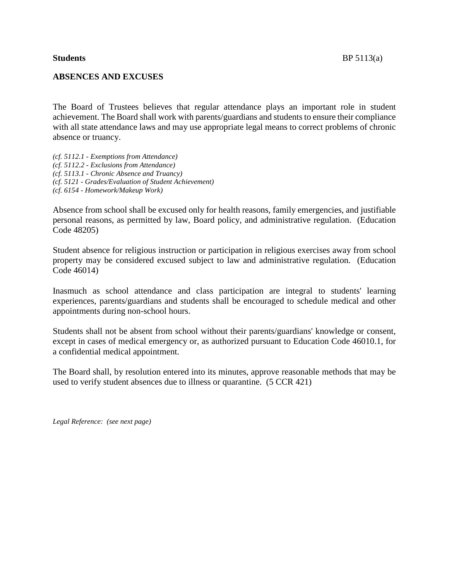# **ABSENCES AND EXCUSES**

The Board of Trustees believes that regular attendance plays an important role in student achievement. The Board shall work with parents/guardians and students to ensure their compliance with all state attendance laws and may use appropriate legal means to correct problems of chronic absence or truancy.

*(cf. 5112.1 - Exemptions from Attendance) (cf. 5112.2 - Exclusions from Attendance) (cf. 5113.1 - Chronic Absence and Truancy) (cf. 5121 - Grades/Evaluation of Student Achievement) (cf. 6154 - Homework/Makeup Work)*

Absence from school shall be excused only for health reasons, family emergencies, and justifiable personal reasons, as permitted by law, Board policy, and administrative regulation. (Education Code 48205)

Student absence for religious instruction or participation in religious exercises away from school property may be considered excused subject to law and administrative regulation. (Education Code 46014)

Inasmuch as school attendance and class participation are integral to students' learning experiences, parents/guardians and students shall be encouraged to schedule medical and other appointments during non-school hours.

Students shall not be absent from school without their parents/guardians' knowledge or consent, except in cases of medical emergency or, as authorized pursuant to Education Code 46010.1, for a confidential medical appointment.

The Board shall, by resolution entered into its minutes, approve reasonable methods that may be used to verify student absences due to illness or quarantine. (5 CCR 421)

*Legal Reference: (see next page)*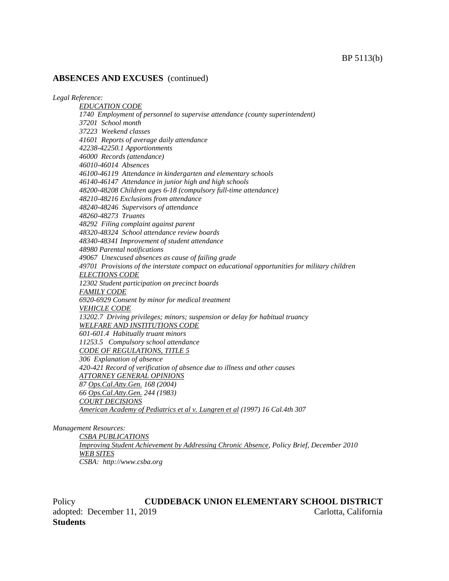#### **ABSENCES AND EXCUSES** (continued)

*Legal Reference:*

*EDUCATION CODE 1740 Employment of personnel to supervise attendance (county superintendent) 37201 School month 37223 Weekend classes 41601 Reports of average daily attendance 42238-42250.1 Apportionments 46000 Records (attendance) 46010-46014 Absences 46100-46119 Attendance in kindergarten and elementary schools 46140-46147 Attendance in junior high and high schools 48200-48208 Children ages 6-18 (compulsory full-time attendance) 48210-48216 Exclusions from attendance 48240-48246 Supervisors of attendance 48260-48273 Truants 48292 Filing complaint against parent 48320-48324 School attendance review boards 48340-48341 Improvement of student attendance 48980 Parental notifications 49067 Unexcused absences as cause of failing grade 49701 Provisions of the interstate compact on educational opportunities for military children ELECTIONS CODE 12302 Student participation on precinct boards FAMILY CODE 6920-6929 Consent by minor for medical treatment VEHICLE CODE 13202.7 Driving privileges; minors; suspension or delay for habitual truancy WELFARE AND INSTITUTIONS CODE 601-601.4 Habitually truant minors 11253.5 Compulsory school attendance CODE OF REGULATIONS, TITLE 5 306 Explanation of absence 420-421 Record of verification of absence due to illness and other causes ATTORNEY GENERAL OPINIONS 87 Ops.Cal.Atty.Gen. 168 (2004) 66 Ops.Cal.Atty.Gen. 244 (1983) COURT DECISIONS American Academy of Pediatrics et al v. Lungren et al (1997) 16 Cal.4th 307*

*Management Resources:*

*CSBA PUBLICATIONS Improving Student Achievement by Addressing Chronic Absence, Policy Brief, December 2010 WEB SITES CSBA: http://www.csba.org*

Policy **CUDDEBACK UNION ELEMENTARY SCHOOL DISTRICT** adopted: December 11, 2019 Carlotta, California **Students**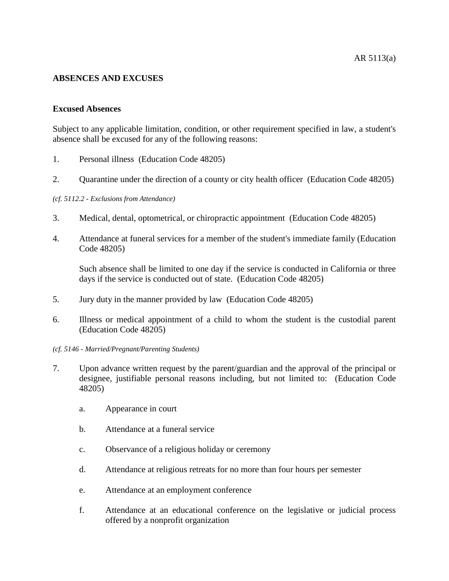# **ABSENCES AND EXCUSES**

## **Excused Absences**

Subject to any applicable limitation, condition, or other requirement specified in law, a student's absence shall be excused for any of the following reasons:

- 1. Personal illness (Education Code 48205)
- 2. Quarantine under the direction of a county or city health officer (Education Code 48205)

#### *(cf. 5112.2 - Exclusions from Attendance)*

- 3. Medical, dental, optometrical, or chiropractic appointment (Education Code 48205)
- 4. Attendance at funeral services for a member of the student's immediate family (Education Code 48205)

Such absence shall be limited to one day if the service is conducted in California or three days if the service is conducted out of state. (Education Code 48205)

- 5. Jury duty in the manner provided by law (Education Code 48205)
- 6. Illness or medical appointment of a child to whom the student is the custodial parent (Education Code 48205)
- *(cf. 5146 - Married/Pregnant/Parenting Students)*
- 7. Upon advance written request by the parent/guardian and the approval of the principal or designee, justifiable personal reasons including, but not limited to: (Education Code 48205)
	- a. Appearance in court
	- b. Attendance at a funeral service
	- c. Observance of a religious holiday or ceremony
	- d. Attendance at religious retreats for no more than four hours per semester
	- e. Attendance at an employment conference
	- f. Attendance at an educational conference on the legislative or judicial process offered by a nonprofit organization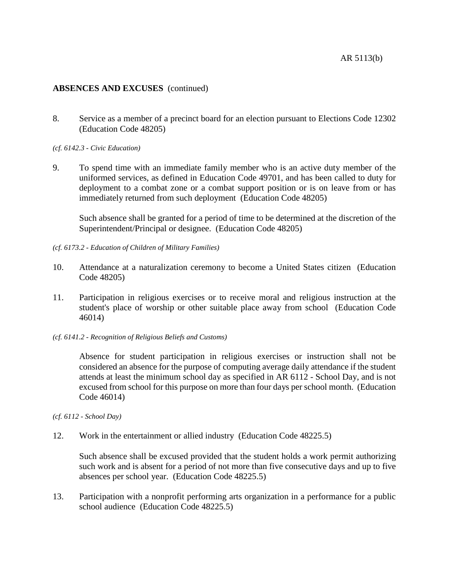# **ABSENCES AND EXCUSES** (continued)

8. Service as a member of a precinct board for an election pursuant to Elections Code 12302 (Education Code 48205)

*(cf. 6142.3 - Civic Education)*

9. To spend time with an immediate family member who is an active duty member of the uniformed services, as defined in Education Code 49701, and has been called to duty for deployment to a combat zone or a combat support position or is on leave from or has immediately returned from such deployment (Education Code 48205)

Such absence shall be granted for a period of time to be determined at the discretion of the Superintendent/Principal or designee. (Education Code 48205)

- *(cf. 6173.2 - Education of Children of Military Families)*
- 10. Attendance at a naturalization ceremony to become a United States citizen (Education Code 48205)
- 11. Participation in religious exercises or to receive moral and religious instruction at the student's place of worship or other suitable place away from school (Education Code 46014)
- *(cf. 6141.2 - Recognition of Religious Beliefs and Customs)*

Absence for student participation in religious exercises or instruction shall not be considered an absence for the purpose of computing average daily attendance if the student attends at least the minimum school day as specified in AR 6112 - School Day, and is not excused from school for this purpose on more than four days per school month. (Education Code 46014)

*(cf. 6112 - School Day)*

12. Work in the entertainment or allied industry (Education Code 48225.5)

Such absence shall be excused provided that the student holds a work permit authorizing such work and is absent for a period of not more than five consecutive days and up to five absences per school year. (Education Code 48225.5)

13. Participation with a nonprofit performing arts organization in a performance for a public school audience (Education Code 48225.5)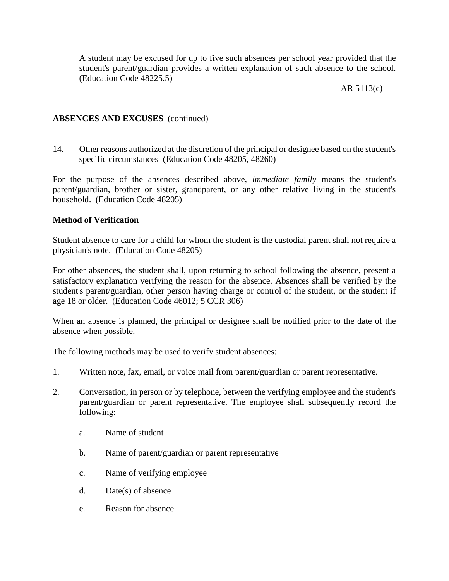A student may be excused for up to five such absences per school year provided that the student's parent/guardian provides a written explanation of such absence to the school. (Education Code 48225.5)

# AR 5113(c)

# **ABSENCES AND EXCUSES** (continued)

14. Other reasons authorized at the discretion of the principal or designee based on the student's specific circumstances (Education Code 48205, 48260)

For the purpose of the absences described above, *immediate family* means the student's parent/guardian, brother or sister, grandparent, or any other relative living in the student's household. (Education Code 48205)

# **Method of Verification**

Student absence to care for a child for whom the student is the custodial parent shall not require a physician's note. (Education Code 48205)

For other absences, the student shall, upon returning to school following the absence, present a satisfactory explanation verifying the reason for the absence. Absences shall be verified by the student's parent/guardian, other person having charge or control of the student, or the student if age 18 or older. (Education Code 46012; 5 CCR 306)

When an absence is planned, the principal or designee shall be notified prior to the date of the absence when possible.

The following methods may be used to verify student absences:

- 1. Written note, fax, email, or voice mail from parent/guardian or parent representative.
- 2. Conversation, in person or by telephone, between the verifying employee and the student's parent/guardian or parent representative. The employee shall subsequently record the following:
	- a. Name of student
	- b. Name of parent/guardian or parent representative
	- c. Name of verifying employee
	- d. Date(s) of absence
	- e. Reason for absence